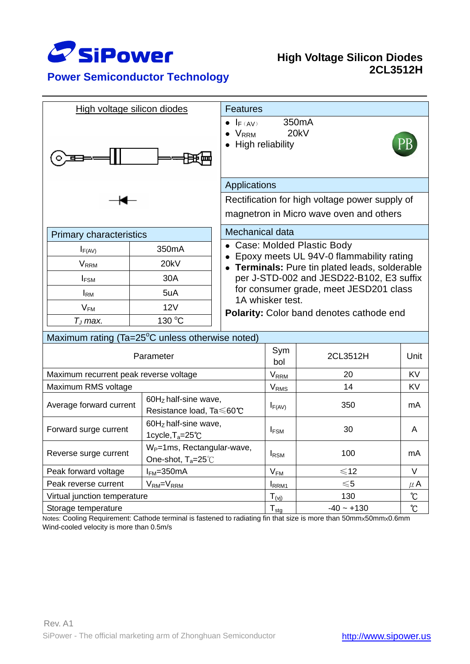

**Power Semiconductor Technology**

## **High Voltage Silicon Diodes 2CL3512H**

| High voltage silicon diodes                     | <b>Features</b>                                                          |                                                                                                  |                                                                                                                                                                                                                                     |               |                   |  |
|-------------------------------------------------|--------------------------------------------------------------------------|--------------------------------------------------------------------------------------------------|-------------------------------------------------------------------------------------------------------------------------------------------------------------------------------------------------------------------------------------|---------------|-------------------|--|
|                                                 |                                                                          | 350 <sub>m</sub> A<br>$\bullet$ $I_{F(AV)}$<br>20kV<br>$\bullet$ $V_{RRM}$<br>• High reliability |                                                                                                                                                                                                                                     |               |                   |  |
|                                                 |                                                                          |                                                                                                  | Applications                                                                                                                                                                                                                        |               |                   |  |
|                                                 |                                                                          | Rectification for high voltage power supply of<br>magnetron in Micro wave oven and others        |                                                                                                                                                                                                                                     |               |                   |  |
| <b>Primary characteristics</b>                  |                                                                          | Mechanical data                                                                                  |                                                                                                                                                                                                                                     |               |                   |  |
| $I_{F(AV)}$                                     | 350 <sub>m</sub> A                                                       |                                                                                                  | • Case: Molded Plastic Body<br>Epoxy meets UL 94V-0 flammability rating<br>• Terminals: Pure tin plated leads, solderable<br>per J-STD-002 and JESD22-B102, E3 suffix<br>for consumer grade, meet JESD201 class<br>1A whisker test. |               |                   |  |
| <b>V</b> <sub>RRM</sub>                         | 20kV                                                                     |                                                                                                  |                                                                                                                                                                                                                                     |               |                   |  |
| $I_{FSM}$                                       | 30A                                                                      |                                                                                                  |                                                                                                                                                                                                                                     |               |                   |  |
| $I_{\rm RM}$                                    | 5uA                                                                      |                                                                                                  |                                                                                                                                                                                                                                     |               |                   |  |
| $V_{FM}$                                        | 12V                                                                      |                                                                                                  |                                                                                                                                                                                                                                     |               |                   |  |
| $T_J$ max.                                      | 130 °C                                                                   |                                                                                                  | Polarity: Color band denotes cathode end                                                                                                                                                                                            |               |                   |  |
| Maximum rating (Ta=25°C unless otherwise noted) |                                                                          |                                                                                                  |                                                                                                                                                                                                                                     |               |                   |  |
| Parameter                                       |                                                                          |                                                                                                  | Sym<br>bol                                                                                                                                                                                                                          | 2CL3512H      | Unit              |  |
| Maximum recurrent peak reverse voltage          |                                                                          |                                                                                                  | $V_{RRM}$                                                                                                                                                                                                                           | 20            | <b>KV</b>         |  |
| Maximum RMS voltage                             |                                                                          |                                                                                                  | <b>V</b> <sub>RMS</sub>                                                                                                                                                                                                             | 14            | KV                |  |
| Average forward current                         | 60Hz half-sine wave,<br>Resistance load, Ta ≤60℃                         |                                                                                                  | $I_{F(AV)}$                                                                                                                                                                                                                         | 350           | mA                |  |
| Forward surge current                           | $60HZ$ half-sine wave,<br>1 cycle, $T_a = 25^{\circ}C$                   |                                                                                                  | <b>IFSM</b>                                                                                                                                                                                                                         | 30            | A                 |  |
| Reverse surge current                           | W <sub>P</sub> =1ms, Rectangular-wave,<br>One-shot, $T_a = 25^{\circ}$ C |                                                                                                  | <b>I</b> RSM                                                                                                                                                                                                                        | 100           | mA                |  |
| Peak forward voltage                            | $IFM=350mA$                                                              |                                                                                                  |                                                                                                                                                                                                                                     | $\leq 12$     | V                 |  |
| Peak reverse current<br>$VRM=VRRM$              |                                                                          |                                                                                                  | $V_{FM}$<br>RRM <sub>1</sub>                                                                                                                                                                                                        | $\leqslant$ 5 | $\mu$ A           |  |
| Virtual junction temperature                    |                                                                          |                                                                                                  | $T_{(vi)}$                                                                                                                                                                                                                          | 130           | $\mathcal{C}$     |  |
| Storage temperature                             |                                                                          |                                                                                                  | $T_{\underline{stg}}$                                                                                                                                                                                                               | $-40 - +130$  | $\rm ^{\circ}\!C$ |  |

Notes: Cooling Requirement: Cathode terminal is fastened to radiating fin that size is more than 50mm×50mm×0.6mm Wind-cooled velocity is more than 0.5m/s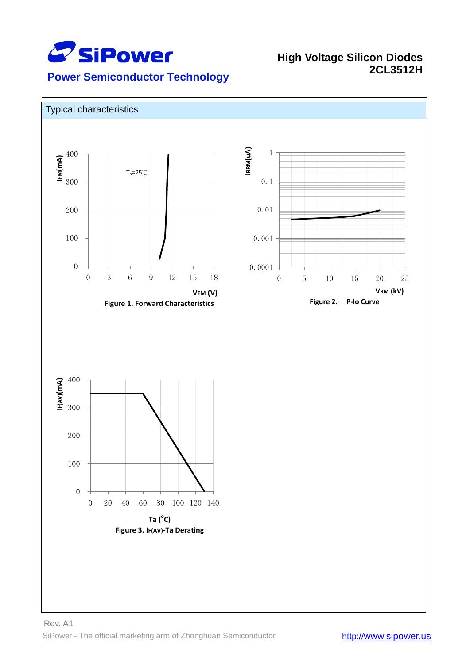

## **High Voltage Silicon Diodes**